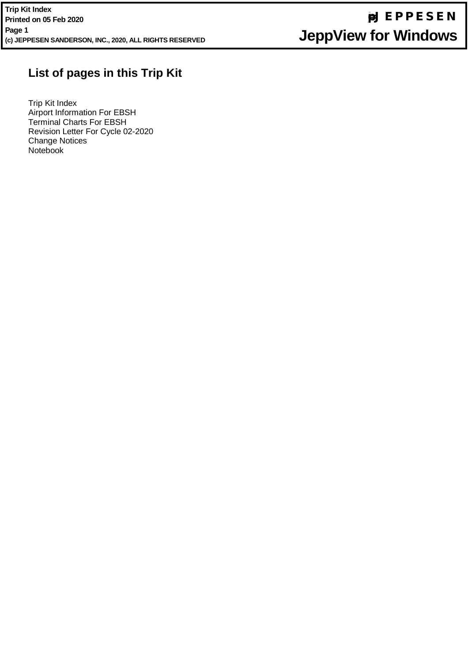# **List of pages in this Trip Kit**

Trip Kit Index Airport Information For EBSH Terminal Charts For EBSH Revision Letter For Cycle 02-2020 Change Notices Notebook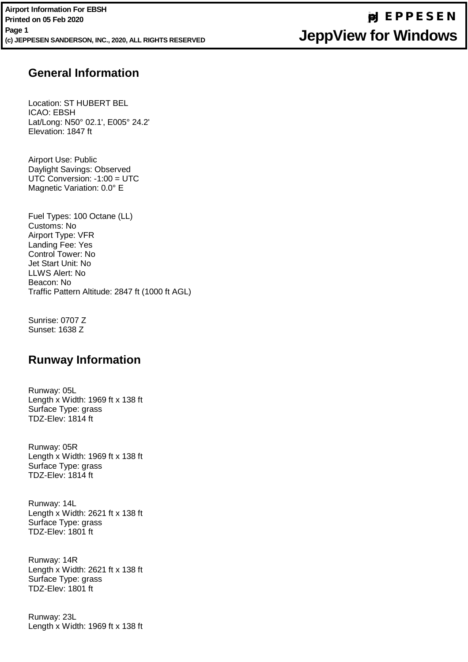#### **General Information** TDZ-Elev: 1817 ft

Location: ST HUBERT BEL Location: 01<br>ICAO: EBSH Lat/Long: N50° 02.1', E005° 24.2' Length x Width: 1969 ft x 138 ft Lat Long: Noord L.T<br>Elevation: 1847 ft  $E$  overlow:  $1817 \text{ m}$ 

Airport Use: Public All port USS. Fasho<br>Daylight Savings: Observed  $Daryny$  in Gavingo:  $CDSONOS$ <br>UTC Conversion: -1:00 = UTC or o convercion: 1:00 = \;<br>Magnetic Variation: 0.0° E magnolio varialio.

Fuel Types: 100 Octane (LL) . as. . *,* pes. .<br>Customs: No Airport Type: VFR Length x Width: 2621 ft x 138 ft r...po.crypo.cr.nc<br>Landing Fee: Yes Eanaing Fee: Tee<br>Control Tower: No Jet Start Unit: No LLWS Alert: No <u>news wea</u>r and the communication in the communication in the communication in the communication in the communication  $\mathbf{R}$ Traffic Pattern Altitude: 2847 ft (1000 ft AGL)

Sunrise: 0707 Z Sunset: 1638 Z

### **Runway Information**

Runway: 05L Length x Width: 1969 ft x 138 ft Surface Type: grass TDZ-Elev: 1814 ft

Runway: 05R Length x Width: 1969 ft x 138 ft Surface Type: grass TDZ-Elev: 1814 ft

Runway: 14L Length x Width: 2621 ft x 138 ft Surface Type: grass TDZ-Elev: 1801 ft

Runway: 14R Length x Width: 2621 ft x 138 ft Surface Type: grass TDZ-Elev: 1801 ft

Runway: 23L Length x Width: 1969 ft x 138 ft

# **jep=JEPPESEN JeppView for Windows**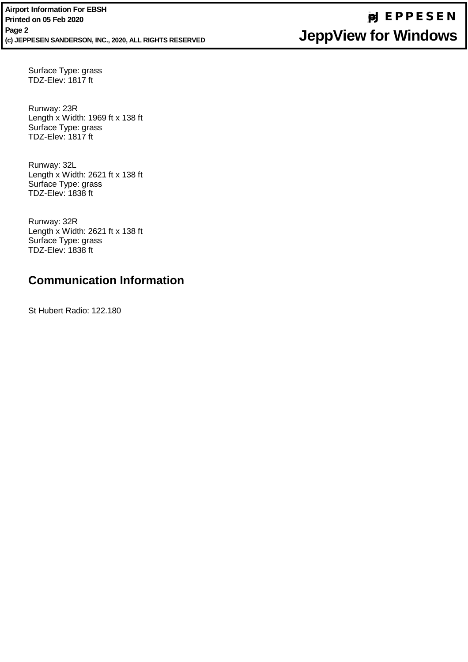Surface Type: grass<br>TDZ Flaw 1917 tt TDZ-Elev: 1817 ft

Runway: 23R INUHWAY. ZUP Length x Width: 1969 ft x 138 ft<br>Surface Tune: stass ounace Type. gra<br>TDZ-Elev: 1817 ft Surface Type: grass

Runway: 32L  $\sum_{\text{Length } y} M_{\text{left}}$  Oct  $\sum_{\text{depth } y}$  Savings: October 10 Length x Width: 2621 ft x 138 ft<br>Surface Tupe: areas Surface Type: grass<br>TDZ Elevi 1929 <del>ft</del> TDZ-Elev: 1838 ft

Runway: 32R Ruilway. OZN<br>Longth v Wid Length x Width: 2621 ft x 138 ft<br>Surface Type: greec Surface Type: grass<br>TDZ Flaw 1939 ft TDZ-Elev: 1838 ft

#### $\sim$   $\sim$ **Communication Information**

St Hubert Radio: 122.180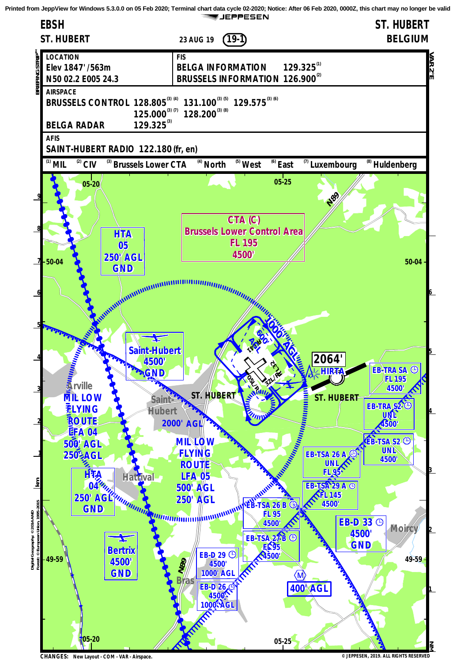**Printed from JeppView for Windows 5.3.0.0 on 05 Feb 2020; Terminal chart data cycle 02-2020; Notice: After 06 Feb 2020, 0000Z, this chart may no longer be valid**

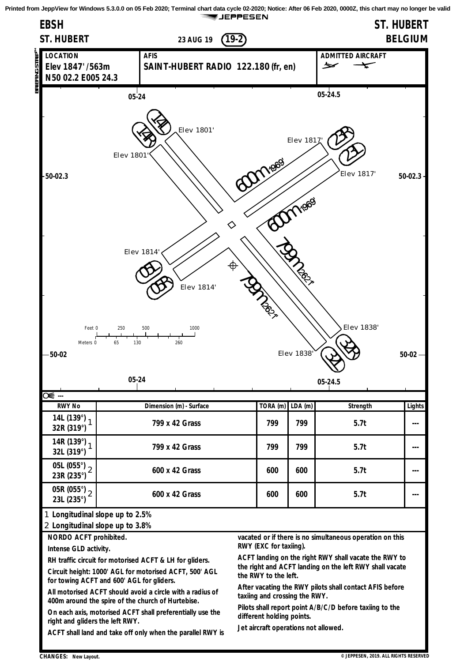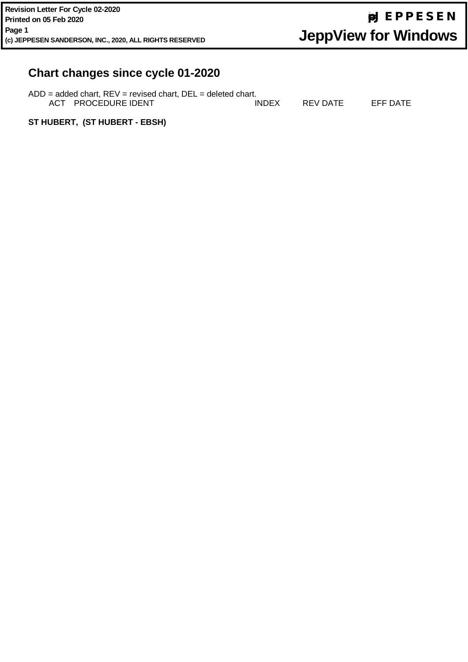# **Chart changes since cycle 01-2020**

| $ADD = added chart, REV = revised chart, DEL = deleted chart.$ |       |          |          |
|----------------------------------------------------------------|-------|----------|----------|
| ACT PROCEDURE IDENT                                            | INDEX | REV DATE | EFF DATE |

**ST HUBERT, (ST HUBERT - EBSH)**